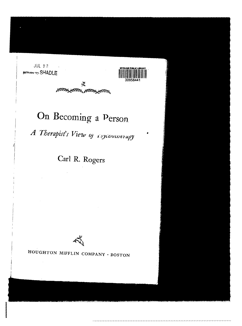

# On Becoming a Person

# A Therapist's View of reynouncrupy

# Carl R. Rogers



HOUGHTON MIFFLIN COMPANY · BOSTON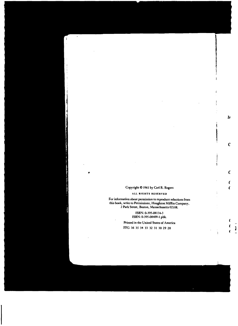#### Copyright  $\Phi$  1961 by Carl R. Rogers

ALL RIGHTS RESERVED

For information about permission to reproduce selections from this book, write to Permissions, Houghton Mifflin Company, 2 Park Street, Boston, Massachusetts 02108.

> ISBN: 0-395-08\34-3 ISBN: 0-395-08409-\ pbk.

Printed in the United States of America

FFG 36 35 34 33 32 31 30 29 28

 $\ddot{\phantom{a}}$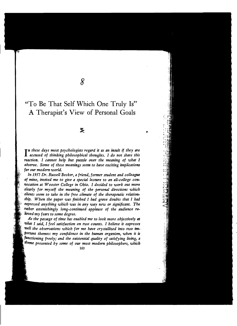# "To Be That Self Which One Truly Is" A Therapist's View of Personal Goals

罗

•

I *accused of thinking philosophical thoughts. I do not share this n these days most psychologists regard it as an insult if they are reaction. I cannot help but puzzle over the meaning of what I observe. Some of these meanings seem to have exciting implications for our modern world.* 

*In* 1957 *Dr. Russell Becker, a friend, former student and colleague of mine, invited me to give a special lecture to an all-college convocation at Wooster College in Ohio. I decided to work out more clearly for myself the meaning of the personal directions which*  clients seem to take in the free climate of the therapeutic relation*ship. When the paper was finished I had grave doubts that I had expressed anything which was in any way new or significant. The rather astonishingly long-continued applause of the audience re* lieved my fears to some degree.

*As the passage of time has enabled me to look more objectively at 'What I said, I feel satisfaction on two counts. I believe it expresses 'Well the observations which for me have crystallized into two im*portant themes: my confidence in the human organism, when it is *'functioning freely; and the existential quality of satisfying living, a theme presented by some of our most modern philosophers, which*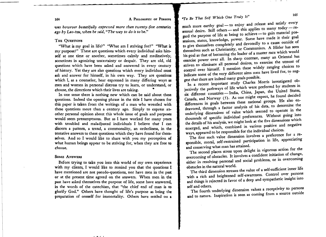*"To Be That Self Which One Truly* Is"

*'Was however beautifully expressed more than twenty-five centuries Igo by Lao-tzu, when he said,"The way to do is to* be."

#### THE OUESTIONS

"What is my goal in life?" "What am I striving for?" "What is my purpose?" These are questions which every individual asks himself at one time or another, sometimes calmly and meditatively, sometimes in agonizing uncertainty or despair. They are old, old questions which have been asked and answered in every century of history. Yet they are also questions which every individual must ask and answer for himself, in his own way. They are questions which I, as a counselor, hear expressed in many differing ways as men and women in personal distress try to learn, or understand, or choose, the directions which their lives are taking. •

In one sense there is nothing new which can be said about these questions. Indeed the opening phrase in the title I have chosen for this paper is taken from the writings of a man who wrestled with these questions more than a century ago. Simply to express another personal opinion about this whole issue of goals and purposes would seem presumptuous. But as I have worked for many years with troubled and maladjusted individuals I believe that I can discern a pattern, a trend, a commonality, an orderliness, in the tentative answers to these questions which they have found for themselves. And so I would like to share with you my perception of what human beings appear to be striving for, when they are free to choose.

#### SoME ANSWERS

Before trying to take you into this world of my own experience with my clients, I would like to remind you that the questions I have mentioned are not pseudo-questions, nor have men in the past or at the present time agreed on the answers. When men in the past have asked themselves the purpose of life, some have answered, in the words of the catechism, that "the chief end of man is to glorify God." Others have thought of life's purpose as being the preparation of oneself for immortality, Others have settled on a much more earthy goal - to enjoy and release and satisfy every sensual desire. Still others - and this applies to many today - regard the purpose of life as being to achieve - to gain material possessions, status, knowledge, power. Some have made it their goal to give themselves completely and devotedly to a cause outside of themselves such as Christianity, or Communism. A Hider has seen his goal as that of becoming the leader of a master race which would exercise power over all. In sharp contrast, many an Oriental has striven to eliminate all personal desires, to exercise the utmost of control over himself. I mention these widely ranging choices to indicate some of the very different aims men have lived for, to sug-<br>gest that there are indeed many goals possible. gest that there are indeed many goals possible.

In a recent important study Charles Morris investigated objectively the pathways of life which were preferred by students in six different countries - India, China, Japan, the United States, Canada, and Norway (5). As one might expect, he found decided differences in goals between these national groups. He also endeavored, through a factor analysis of his data, to determine the underlying dimensions of value which seemed to operate in the thousands of specific individual preferences. Without going into the details of his analysis, we might look at the five dimensions which emerged, and which, combined in various positive and negative ways, appeared to be responsible for the individual choices.

The first such value dimension involves a preference for a responsible, moral, self-restrained participation in life, appreciating and conserving what man has attained.

The second places stress upon delight in vigorous action for the overcoming of obstacles. It involves a confident initiation of change, either in resolving personal and social problems, or in overcoming obstacles in the natural world.

The third dimension stresses the value of a self-sufficient inner life with a rich and heightened self-awareness. Control over persons and things is rejected in favor of a deep and sympathetic insight into self and others.

The fourth underlying dimension values a receptivity to persons and to nature. Inspiration is seen as coming from a source outside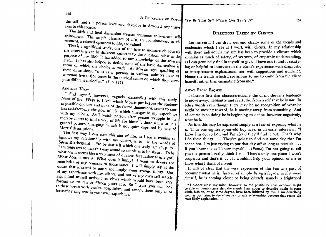the self, and the person lives and develops in devoted responsive.

The fifth and final dimension stresses sensuous enjoyment, self.

enjoyment. The simple pleasures of life, an abandonment to the moment, a relaxed openness to life, are valued.

This is a significant study, one of the first to measure objectively the answers given in different cultures to the question, what is the purpose of my life? It has added to our knowledge of the answers given. It has also helped to define some of the basic dimensions in terms of which the choice is made. As Morris says, speaking of these dimensions, "it is as if persons in various cultures have in  $\frac{1}{2}$  for  $\frac{1}{2}$  fones in the musical scales on which they compose different melodies."  $(5, p, 185)$ 

### ANOTHER VIEW

I find myself, however, vaguely dissatisfied with this study. None of the "Ways to Live" which Morris put before the students as possible choices, and none of the factor dimensions, seems to contain satisfactorily the goal of life which emerges in my experience with my clients. As  $\bar{I}$  watch person after person struggle in his therapy hours to find a way of life for himself, there seems to be a general pattern emerging, which is not quite captured by any of

The best way I can state this aim of life, as I see it coming to the total to the total to the total to the total to the total to the total to the total to the total to the total to the total to the total to the total to  $\frac{1}{2}$  is the my relationship with my clients, is to use the words of  $S_{\text{P}}$  is increased  $\sim$  "to be that self which one truly is." (3, p. 29) I am quite aware that this may sound so simple as to be absurd. To be where one is seems like a statement of obvious fact rather than  $\alpha$  go all  $\alpha$ What does it mean? What does it imply? I want to devote the remainder of my remarks to those issues. I will simply say at the outset that it seems to mean and imply some strange things. Out of my experience with my clients, and out of my own self-searching, I find myself arriving at views which would have been very foreign to me ten or fifteen years ago. So I trust you will look at these views with critical scepticism, and accept them only in so far as they ring true in your own experience.

#### DIRECTIONS TAKEN BY CLIENTS

Let me see if I can draw out and clarify some of the trends and tendencies which I see as I work with clients. In my relationship with these individuals my aim has been to provide a climate which contains as much of safety, of warmth, of empathic understanding, as I can genuinely find in myself to give. I have not found it satisfying or helpful to intervene in the client's experience with diagnostic or interpretative explanations, nor with suggestions and guidance. Hence the trends which I see appear to me to come from the client himself, rather than emanating from me. $*$ 

#### AWAY FROM FACADES

I observe first that characteristically the client shows a tendency to move away, hesitantly and fearfully, from a self that he is *not.* In other words even though there may be no recognition of what he might be moving toward, he is moving away from something. And of course in so doing he is beginning to define, however negatively, what he *is.* 

At first this may be expressed simply as a fear of exposing what he is. Thus one eighteen-year-old boy says, in an early interview: "I know I'm not so hot, and I'm afraid they'll find it out. That's why I do these things.... They're going to find out some day that I'm not so hot. I'm just trying to put that day off as long as possible.... If you know me as I know myself -. *(Pause)* I'm not going to tell you the person I really think I am. There's only one place I won't cooperate and that's it.... It wouldn't help your opinion of me to know what I think of myself."

It will be clear that the very expression of this fear is a part of becoming what he is. Instead of simply *being* a facade, as if it were himself, he is coming closer to being *himself,* namely a frightened

<sup>•</sup> I cannot close my mind, however, to the possibility that someone might be able to demonstrate that the trends I am about to describe might in some subtle fashion, or to some degree, have been initiated by me. I am describing them as occurring in the client in this safe relationship, because that seems the most likely explanation.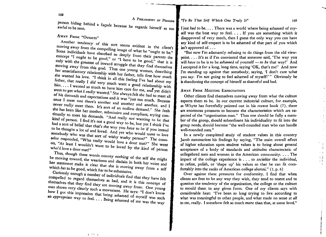A PHILOSOPHY OF PERSONS

person hiding behind a façade because he regards himself as too

## AWAY FROM "OUGHTS"

Another tendency of this sort seems evident in the client's moving away from the compelling image of what he "ought to be." Some indicate the compelling image of what he "ought to be." Some individuals have absorbed so deeply from their parents to concept "I ought to be good," or "I have to be good," that it is only with the greatest of inward struggle that they find themselves moving away from this goal. Thus one young woman, describing her unsatisfactory relationship With her father, tells first how much she wanted his love. "I think in all this feeling I've had about my father, that *really* 1 *did* very much want a good relationship with him.... I wanted so much to have him care for me, and yet didn't seem to get what I really wanted." She always felt she had to meet all of his demands and expectations and it Was "just too much, Because once I meet one there's another and another and another, and I never really meet them. It's sort of an endless demand." She feels she has been like her mother, submissive and compliant, trying continually to meet his demands. "And really *not* wanting to be that kind of person. 1 find it's not a good way to be, but yet I think I've had a sort of belief that that's the way you *have* to be if you intend to be thought a lot of and *loved.* And yet who would *want* to love somebody who was that sort of wishy washy person?" The counselor responded, "Who really would love a door mat?" She went on, "At least I wouldn't want to be loved by the kind of person

 $T_{\text{max}}$ , though these words convey nothing of the self she may meet be moving toward, the weariness and disdain in both her voice and  $\frac{1}{\sqrt{1-\frac{1}{n}}}\frac{1}{\sqrt{1-\frac{1}{n}}}\frac{1}{\sqrt{1-\frac{1}{n}}}\frac{1}{\sqrt{1-\frac{1}{n}}}\frac{1}{\sqrt{1-\frac{1}{n}}}\frac{1}{\sqrt{1-\frac{1}{n}}}\frac{1}{\sqrt{1-\frac{1}{n}}}\frac{1}{\sqrt{1-\frac{1}{n}}}\frac{1}{\sqrt{1-\frac{1}{n}}}\frac{1}{\sqrt{1-\frac{1}{n}}}\frac{1}{\sqrt{1-\frac{1}{n}}}\frac{1}{\sqrt{1-\frac{1}{n}}}\frac{1}{\sqrt{1-\frac{1}{n}}}\frac{1}{\sqrt{1-\frac{$ which *bas* to be good, which *has* to be submissive. Which has to be good, which has to be submissive.<br>Curiously enough a number of individuals find that they have felt

compelled to regard themselves as bad, and it is this concept of themselves that they find they are moving away from. One young man shows very clearly such a movement. He says: "I don't know how I got this impression that being ashamed of myself was such an *appropriate* way to feel. . . . Being ashamed of me was the way

*"To Be That Self Which One Truly Is"* 169

**j!** -- -~.\_

I just *had* to be.... There was a world where being ashamed of myself was the best way to feel.  $\ldots$ . If you are something which is disapproved of very much, then I guess the only way you can have any kind of self-respect is to be ashamed of that part of you which isn't approved of....

"But now I'm adamantly refusing to do things from the old viewpoint.... It's as if I'm convinced that someone said, 'The way you will *have* to be is to be *ashamed* of yourself - so *be* that way!' And I accepted it for a long, long time, saying 'OK, that's me!' And now I'm standing up against that somebody, saying, 'I don't care *what*  you say. I'm *not* going to feel ashamed of myself!'" Obviously he is abandoning the concept of himself as shameful and bad.

#### AWAY FROM MEETING EXPECTATIONS

Other clients find themselves moving away from what the culture expects them to be. In our current industrial culture, for example, as Whyte has forcefully pointed out in his recent book (7), there are enormous pressures to become the characteristics which are expected of the "organization man." Thus one should be fully a member of the group, should subordinate his individuality to fit into the group needs, should become "the well-rounded man who can handle well-rounded men."

In a newly completed study of student values in this country Jacob summarizes his findings by saying, "The main overall effect of higher education upon student values is to bring about general acceptance of a body of standards and attitudes characteristic of collegebred men and women in the American community.... The impact of the college experience is . . . to *socialize* the individual, to refine, polish, or 'shape up' his values so that he can fit com*fortably* into the ranks of American college alumni." (1, p. 6)

Over against these pressures for conformity, I find that when clients are free to be any way they wish, they tend to resent and to question the tendency of the organization, the college or the culture to mould them to any given form. One of my clients says with considerable heat: "I've been so long trying to live according to what was meaningful to other people, and what made no sense at *all*  to me, really. I somehow felt so much *more* than that, at some level."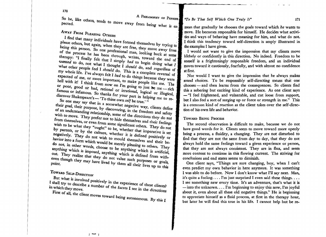170

A PHILOSOPHY OF PERSONS

So he, like others, tends to move away from being what is  $e_{x}$ .

# AWAY FROM PLEASING OTHERS

I find that many individuals have formed themselves by trying to please others, but again, when they are free, they move away from being this person. So one professional man, looking back at some of the process he has been through, writes, toward the end of therapy: "I finally felt that I simply *had* to begin doing what *I*  wanted to do, not what I thought I *should* do, and regardless of what other people feel I *should* do. This is a complete reversal of expected of  $m_0$ ,  $m_1$  ways felt I *had* to do things because it. hell with it  $\Gamma$ , or more important, to make people live they were expected of me, or more important, to make people like me. The hell with it! I think from now on I'm going to just be me — rich or poor, good or bad, rational or irrational, logical or illogical, famous or infamous. So thanks for your part in helping me to re-<br>discover Shakespeare's -- 'To thine own self be true.'" famous or infamous. So thanks for your part in helping me to re-

So one may say that *in* a somewhat negative way, clients define their goal, their purpose, by discovering, in the freedom and safety of an understanding relationship, some of the directions they do not from themselves. They prefer not to hide themselves and their feelings and the feelings of  $\frac{1}{2}$ wish to be what it. we from some significant others. The reelings from themselves, or even from some significant others. They do not wish to be what they "ought" to be, whether that imperative is set by parents, or by the culture, whether it is defined positively or negatively. They do not wish to mould themselves and their beanything which *is* choose to be anything which *is* They out. They realize all we imposed, anything which is defined from which do not, in other words, choose to be anything which is artificial,  $\epsilon$  realize that they do not value such purposes with. point  $\frac{1}{2}$  by may have lived by them all their lives or goals, even though they may have lived by them all their lives up to this point.

# TOWARD SELF-DIRECTION

But what *is* involved positively in the experience of these clients? I Shall try to describe a number of the facets I see *in* the directions *in* which they move. First of all, the client moves toward being autonomous. By this I

*"To Be That Self Which One Truly Is"* 171

mean that gradually he chooses the goals toward which *be* wants to move. He becomes responsible for himself. He decides what activities and ways of behaving have meaning for him, and what do not. I think this tendency toward self-direction is amply illustrated in the. examples I have given.

I would not want to give the impression that my clients move blithely or confidently in this direction. No indeed. Freedom to be oneself is a frighteningly responsible freedom, and an individual moves toward it cautiously, fearfully, and with almost no confidence at first.

Nor would I want to give the impression that he always makes sound choices. To be responsibly self-directing means that one chooses- and then learns from the consequences. So clients find this a sobering but exciting kind of experience. As one client says - "I feel frightened, and vulnerable, and cut loose from support, but I also feel a sort of surging up or force or strength in me." This *is*a common kind of reaction as the client takes over the self-direction of his own life and behavior.

#### TOWARD BEING PROCESS

The second observation *is* difficult to make, because we do not have good words for it. Clients seem to move toward more openly being a process, a fluidity, a changing. They are not disturbed to find that they are not the same from day to day, that they do not always hold the same feelings toward a given experience or person, that they are not always consistent. They are in flux, and seem more content to continue in this flowing current. The striving for conclusions and end states seems to diminish.

One client says, "Things are sure changing, boy, when I can't even predict my own behavior in here anymore. It was something I was able to do before. Now I don't know what I'll say next. Man, it's quite a feeling.... I'm just surprised I even said these things.... I see something new every time. It's an adventure, that's what it is  $\frac{1}{\pi}$  into the unknown.... I'm beginning to enjoy this now, I'm joyful about it, even about all these old negative things." He is beginning to appreciate himself as a fluid process, at first in the therapy hour, but later he will find this true in his life. I cannot help but be re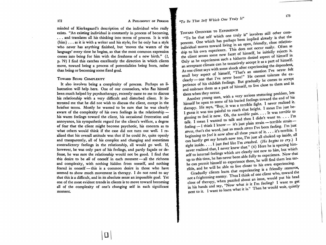minded of Kierkegaard's description of the individual who really exists. "An existing individual is constantly in process of becoming, ... and translates all his thinking into terms of process. It is with (him) ... as it is with a writer and his style; for he only has a style who never has anything finished, but 'moves the waters of the language' every time he begins, so that the most common expression comes into being for him with the freshness of a new birth." (2, p. 79) I find this catches excellently the direction in which clients move, toward being a process of potentialities being born, rather than being or becoming some fixed goal.

#### TOWARD BEING CoMPLEXITY

It also involves being a complexity of process. Perhaps an illustration will help, here. One of our counselors, who flas himself been much helped by psychotherapy, recently came to me to discuss his relationship with a very difficult and disturbed client. It interested me that he did not wish to discuss the client, except in the briefest terms. Mostly he wanted to be sure that he was clearly aware of the complexity of his own feelings in the relationshiphis warm feelings toward the client, his occasional frustration and annoyance, his sympathetic regard for the client's welfare, a degree of fear that the client might become psychotic, his concern as to what others would think if the case did not turn out well. I realized that his overall attitude was that if he could *be,* quite openly and transparently, all of his complex and changing and sometimes contradictory feelings in the relationship, all would go well. If, however, he was only part of his feelings, and partly facade or defense, he was sure the relationship would not be good. I find that this desire to be *all* of oneself in each moment -- all the richness and complexity, with nothing hidden from oneself, and nothing feared in oneself - this is a common desire in those who have seemed to show much movement in therapy. I do not need to say that this is a difficult, and in its absolute sense an impossible goal. Yet one of the most evident trends in clients is to move toward becoming all of the complexity of one's changing self in each significant moment.

TOWARD OPENNESS TO EXPERIENCE

"To be that self which one truly is" involves still other components. One which has perhaps been implied already is that the individual moves toward living in an open, friendly, close relationship to his own experience. This does not occur easily. Often as the client senses some new facet of himself, he initially rejects it. Only as he experiences such a hitherto denied aspect of himself in an acceptant climate can he tentatively accept it as a part of himself. As one client says with some shock after experiencing the dependent, small boy aspect of himself, "That's an emotion I've never felt clearly - one that I've never been!" He cannot tolerate the experience of his childish feelings. But gradually he comes to accept and embrace them as a part of himself, to live close to them and in

them when they occur. Another young man, with a very serious stuttering problem, lets himself be open to some of his buried feelings toward the end of his therapy. He says, "Boy, it was a terrible fight. I never realized it. I guess it was too painful to reach that height. I mean I'm just beginning to feel it now. Oh, the *terrible* pain.... It was *terrible* to talk. I mean I wanted to talk and then I didn't want to. .. . I'm feeling  $-1$  think I know  $-$  it's just plain strain  $-$  terrible strain  $$ *stress,* that's the word, just so much *stress* I've been feeling. I'm just beginning to feel it now after all these years of it.... it's terrible. I can hardly get my breath now too, I'm just all choked up inside, all *tight* inside.... I just feel like I'm *crushed. (He begins to cry.)* <sup>I</sup> never realized that. I never knew that." (6) Here he is opening himself to internal feelings which are clearly not new to him, but which sen to internative to be has never been able fully to experience. Now them up to this different the caperience them, he will find them less them rible, and he will be able to live closer to his own experiencing. ֦

gradually clients learn that experiencing is a friendly resource,  $\frac{1}{2}$  frightening enemy. Thus I think of one client who, toward the close of therapy, when puzzled about an issue, would put his head in his hands and say, "Now what *is* it I'm feeling? I want to get  $\lim_{x \to \infty} \lim_{x \to \infty} \lim_{x \to \infty} \frac{\sin x}{x}$  following what it is." Then he would wait, quietly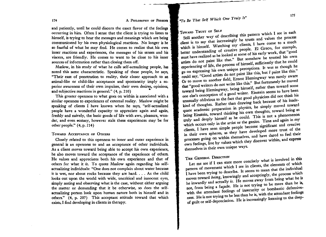"To Be *That* Self Which One *Truly Is"* 

#### 174 **A PHILOSOPHY OF PERSONS**

.

and patiently, until he could discern the exact flavor of the feelings occurring in him. Often I sense that the client is trying to listen to . himself, is trying to hear the messages and meanings which are being communicated by his own physiological reactions. No longer is he so fearful of what he may find. He comes to realize that. his own inner reactions and experiences, the messages of his senses and his viscera, are friendly. He comes to want to be close to his inner sources of information rather than closing them off.

Maslow, in his study of what he calls self-actualizing people, has noted this same characteristic. Speaking of these people, he says, "Their ease of penetration to reality, their closer approach to an animal-like or child-like acceptance and spontaneity imply a superior awareness of their own impulses, their own desires, opinions, and subjective reactions in general."  $(4, p. 210)$ 

This greater openness to what goes on within is associated with a similar openness to experiences of external reality. Maslow might be speaking of clients I have known when he says, "self-actualized people have a wonderful capacity to appreciate again and again, freshly and naively, the basic goods of life with awe, pleasure, wonder, and *even* ecstasy, however stale these experiences may be for other people." (4, p. 214)

#### TOWARD ACCEPTANCE OF OTHERS

Closely related to this openness to inner and outer experience in general is an openness to and an acceptance of other individuals. As a client moves toward being able to accept his own experience, he also moves toward the acceptance of the experience of others. He values and appreciates both his own experience and that of others for what it *is.* To quote Maslow again regarding his selfactualizing individuals: "One does not complain about water because it is wet, nor about rocks because they are hard. . . . As the child looks out upon the world with wide, uncritical and innocent eyes, simply noting and observing what is the case, without either arguing the matter or demanding that it be otherwise, so does the selfactualizing person look upon human nature both in himself and in others." (4, p. 207) This acceptant attitude toward that which exists, I find developing in clients in therapy.

TOWARD TRUST OF SELF

Still another way of describing this pattern which I see in each client is to say that increasingly he trusts and values the process which is himself. Watching my clients, I have come to a much better understanding of creative people. El Greco, for example, must have realized as he looked at some of his early work, that "good artists do not paint like that." But somehow he trusted his own experiencing of life, the process of himself, sufficiently that he could go on expressing his own unique perceptions. It was as though he could say, "Good artists do not paint like this, but 1 paint like this." Or to move to another field, Ernest Hemingway was surely aware that "good writers do not write like this." But fortunately he moved toward being Hemingway, being himself, rather than toward some one else's conception of a good writer. Einstein seems to have been unusually oblivious to the fact that good physicists did not think his kind of thoughts. Rather than drawing back because of his inadequate academic preparation in physics, he simply moved toward being Einstein, toward thinking his own thoughts, toward being as truly and deeply himself as he could. This is not a phenomenon which occurs only in the artist or the genius. Time and again in my clients, I have seen simple people become significant and creative in their own spheres, as they have developed more trust of the processes going on within themselves, and have dared to feel their own feelings, live by values which they discover within, and express themselves in their own unique ways.

## THE GENERAL DIRECTION

Let me see if I can state more concisely what is involved in this pattern of movement which I see in clients, the elements of which I have been trying to describe. It seems to mean that the individual moves toward *being,* knowingly and acceptingly, the process which he inwardly and actually *is.* He moves away from being what he is not, from being a façade. He is not trying to be more than he is, with the attendant feelings of insecurity or bombastic defensiveness. He is not trying to be less than he is, with the attendant feelings of guilt or self-depreciation. He is increasingly listening to the deep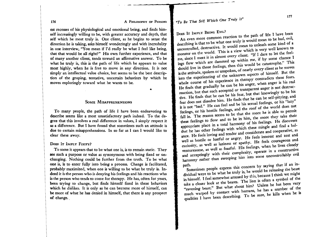*"To Be Tbat Self Wbicb One Truly Is"* 

•

est recesses of his physiological and emotional being, and finds himself increasingly willing to be, with greater accuracy and depth, that self which he most truly is. One client, as he begins to sense the direction he is taking, asks himself wonderingly and with incredulity in one interview, "You mean if I'd really be what I feel like being, that that would be all right?" His own further experience, and that of many another client, tends toward an affirmative answer. To be what he truly is, this is the path of life which he appears to value most highly, when he is free to move in any direction. It is not simply an intellectual value choice, but seems to be the best description of the groping, tentative, uncertain behaviors by which he moves exploringly toward what he wants to be.

#### SoME MISAPPREHENSIONS

To many people, the path of life I have been endeavoring to describe seems like a most unsatisfactory path indeed. To the degree that this involves a real difference in values, I simply respect it as a difference. But I have found that sometimes such an attitude is due to certain misapprehensions. In so far as I can I would like to clear these away.

#### OOFS IT IMPLY FIXITY?

To some it appears that to be what one is, is to remain static. They see such a purpose or value as synonymous with being fixed or unchanging. Nothing could be further from the truth. To be what one is, is to enter fully into being a process. Change is facilitated, probably maximized, when one is willing to be what he truly is. Indeed it is the person who is denying his feelings and his reactions who is the person who tends to come for therapy. He has, often for years, been trying to change, but finds himself fixed in these behaviors which he dislikes. It is only as he can become more of himself, can be more of what he has denied in himself, that there is any prospect of change..

DOES IT IMPLY BEING EViL?

An even more common reaction to the path of life I have been describing is that to be what one truly is would mean to be bad, evil, uncontrolled, destructive. It would mean to unleash some kind of a monster on the world. This is a view which is very well known to me, since I meet it in almost every client. "If 1 dare to let the feelings flow which are dammed up within me, if by some chance I should live in those feelings, then this would be catastrophe." This isthe attitude, spoken or unspoken, of nearly every client as he moves into the experiencing of the unknown aspects of himself. But the whole course of his experience in therapy contradicts these fears. He finds that gradually he can be his anger, when anger is his real reaction, but that such accepted or transparent anger is not destructive. He finds that he can be his fear, but that knowingly to be his fear does not dissolve him. He finds that he can be self-pitying, and it is not "bad." He can feel and be his sexual feelings, or his "lazy" feelings, or his hostile feelings, and the roof of the world does not fall in. The reason seems to be that the more he is able to permit these feelings to flow and to be in him, the more they take their appropriate place in a total harmony of his feelings. He discovers that he has other feelings with which these mingle and find a balance. He feels loving and tender and considerate and cooperative, as well as hostile or lustful or angry. He feels interest and zest and curiosity, as well as laziness or apathy. He feels courageous and venturesome, as well as fearful. His feelings, when he lives closely and acceptingly with their complexity, operate in a constructive harmony rather than sweeping him into some uncontrollably evil

path. Sometimes people express this concern by saying that if an individual were to be what he truly is, he would be releasing the beast in himself. I feel somewhat amused by this, because I think we might take a closer look at the beasts. The lion is often a symbol of the "ravening beast." But what about him? Unless he has been very much warped by contact with humans, he has a number of the qualities I have been describing. To be sure, he kills when he is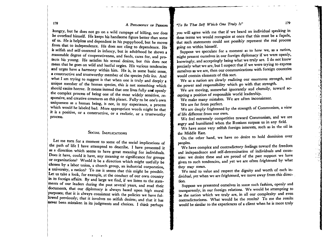### 178 A PHILOSOPHY OF PERSONS

hungry, but he does not go on a wild rampage of killing, nor does he overfeed himself. He keeps his handsome figure better than some of us. He is helpless and dependent in his puppyhood, but he moves from that to independence. He does not cling to dependence. He is selfish and self-centered in infancy, but in adulthood he shows a reasonable degree of cooperativeness, and feeds, cares for, and protects his young. He satisfies his sexual desires, but this does not mean that he goes on wild and lustful orgies. His various tendencies and urges have a harmony within him. He is, in some basic sense, a constructive and trustworthy member of the species *[elis leo.* And what I am trying to suggest is that when one is truly and deeply a unique member of the human species, this is not something which should excite horror. It means instead that one lives fully and openly the complex process of being one of the most widely sensitive, responsive, and creative creatures on this planet. Fully to be one's own uniqueness as a human being, is not, in my experience, a process which would be labeled bad. More appropriate words might be that it is a positive, or a constructive, or a realistic, or a trustworthy process.

### SOCIAL IMPLICATIONS

Let me tum for a moment to some of the social implications of the path of life I have attempted to describe. I have presented it as a direction which seems to have great meaning for individuals. Does it have, could it have, any meaning or significance for groups or organizations? Would it be a direction which might usefully be chosen by a labor union, a church group, an industrial corporation, a university, a nation? To me it seems that this might be possible. Let us take a look, for example, at the conduct of our own country in its foreign affairs. By and large we find, if we listen to the staremenrs of our leaders during the past several years, and read their documents, that our diplomacy is always based upon high moral purposes; that it is always consistent with the policies we have followed previously; that it involves no selfish desires; and that it has never been mistaken in its judgments and choices. I think perhaps

# *"To Be That Self Which One Truly Is" 179*

you will agree with me that if we heard an individual speaking in these terms we would recognize at once that this must be a façade, that such statements could not possibly represent the real process going on within himself.

Suppose we speculate for a moment as to how we, as a nation, might present ourselves in our foreign diplomacy if we were openly, knowingly, and acceptingly being what we truly are. I do not know precisely what we are, but I suspect that if we were trying to express ourselves as we are, then our communications with foreign countries would contain elements of this sort.

We as a nation are slowly realizing our enormous strength, 'and the power and responsibility which go with that strength.

We are moving, somewhat ignorantly and clumsily, toward ac-<br>cepting a position of responsible world leadership.

We make many mistakes. We are often inconsistent.

We are far from perfect.

We are deeply frightened by the strength of Communism, a view of life different from our own.  $\blacksquare$ 

We feel extremely competitive toward Communism, and we are angry and humiliated when the Russians surpass us in any field.

We have some very selfish foreign interests, such as in the oil in the Middle East. The Middle East.

On the other hand, we have no desire to hold dominion over peoples.

 $W$ e have complex and contradictory feelings toward the freedom and independence and self-determination of individuals and coun tries: we desire these and are proud of the past support we have given to such tendencies, and yet we are often frightened by what they may mean.

We tend to value and respect the dignity and worth of each individual, yet when we are frightened, we move away from this direc- . tion.

Suppose we presented ourselves in some such fashion, openly and transparently, in our foreign relations. We would be attempting to be the nation which we truly are, in all our complexity and even contradictoriness. What would be the results? To me the results would be similar to the experiences of a client when he is more truly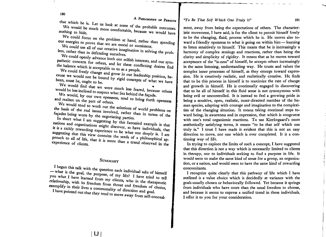**.** -

We would be is. Let us look at some of the probable outcomes. We would be much more comfortable, because we would have nothing to hide.

We could focus on the problem at hand, rather than spending our energies to prove that we are moral or consistent.

We could use all of our creative imagination in solving the prob-<br>lem, rather than in defending ourselves.

We *could openly* advance both our selfish interests, and our sympathetic concern for others, and let these conflicting desires find the balance which is acceptable to us as a people.

We *could freely* change and grow in our leadership position, bebeen, must be, ought to be.<br>been, must be, ought to be.

We would find' that We were much *less* feared, because others would be less inclined to suspect what lies behind the façade.

We would, by our own openness, tend to bring forth openness and realism on the part of others. We would tend to work out the solutions of world problems on

the basis of the real issues involved, rather than in terms of the real of the real of the real of the real of the real of the real of the real of the real of the real of the real of the real of the real of the real of the a a design worn by the negotiating parties.

 $\frac{1}{2}$  short what I am suggesting by this fantasied example  $\frac{1}{2}$  that  $\frac{1}{100}$  and organizations might discover, as have individuals, that it is a richly rewarding experience to be what one deeply is. I am suggesting that this view contains the seeds of a philosophical approach to a philosophical approach and approach approach approach approach approach approach approach approach approach approach approach approach approach experience of clients.

### SUMMARY

I began *this* talk *with* the question each individual asks of himself - what is the goal, the purpose, of my life? I have tried to tell you what I have learned from my clients, who in the therapeutic relationship, with its freedom from threat and freedom of choice, exemplify in their lives a commonality of direction and goal.

I have pointed out that they tend to move away from self-conceal\_

ment, away from being the expectations of others. The characteristic movement, I have said, is for the client to permit himself freely to be the changing, fluid, process which he is. He moves also toward a friendly openness to what is going on within  $him$ — learning to listen sensitively to himself. This means that he is increasingly a harmony of complex sensings and reactions, rather than being the clarity and simplicity of rigidity. It means that as he moves toward acceptance of the "is-ness" of himself, he accepts others increasingly in the same listening, understanding way. He trusts and values the complex inner processes of himself, as they emerge toward expression. He is creatively realistic, and realistically creative. He finds that to be this process in himself is to maximize the rate of change and growth in himself. He is continually engaged in discovering that to be all of himself in this fluid sense is not synonymous with being evil or uncontrolled. It is instead to feel a growing pride in being a sensitive, open, realistic, inner-directed member of the human species, adapting with courage and imagination to the complexities of the changing situation. It means taking continual steps toward being, in awareness and in expression, that which is congruent with one's total organismic reactions. To use Kierkegaard's more aesthetically satisfying terms, it means "to be that self which one truly is." I trust I have made it evident that this is not an easy direction to move, nor one which is ever completed. It is a continuing way of life.

In trying to explore the limits of such a concept, I have suggested that this direction is not a way which is necessarily limited to clients in therapy, nor to individuals seeking to find a purpose in life. It would seem to make the same kind of sense for a group, an organization, or a nation, and would seem to have the same kind of rewarding concomitants.

I recognize quite clearly that this pathway of life which I have outlined is a value choice which is decidedly at variance with the goals usually chosen or behaviorally followed. Yet because it springs from individuals who have more than the usual freedom to choose, and because it seems to express a unified trend in these individuals, I offer it to you for your consideration.

180